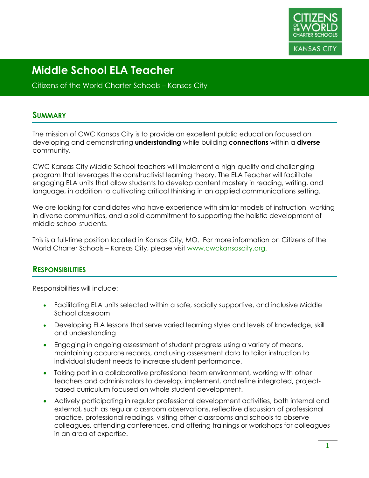

Citizens of the World Charter Schools – Kansas City

#### **SUMMARY**

The mission of CWC Kansas City is to provide an excellent public education focused on developing and demonstrating **understanding** while building **connections** within a **diverse** community.

CWC Kansas City Middle School teachers will implement a high-quality and challenging program that leverages the constructivist learning theory. The ELA Teacher will facilitate engaging ELA units that allow students to develop content mastery in reading, writing, and language, in addition to cultivating critical thinking in an applied communications setting.

We are looking for candidates who have experience with similar models of instruction, working in diverse communities, and a solid commitment to supporting the holistic development of middle school students.

This is a full-time position located in Kansas City, MO. For more information on Citizens of the World Charter Schools – Kansas City, please visit www.cwckansascity.org.

#### **RESPONSIBILITIES**

Responsibilities will include:

- Facilitating ELA units selected within a safe, socially supportive, and inclusive Middle School classroom
- Developing ELA lessons that serve varied learning styles and levels of knowledge, skill and understanding
- Engaging in ongoing assessment of student progress using a variety of means, maintaining accurate records, and using assessment data to tailor instruction to individual student needs to increase student performance.
- Taking part in a collaborative professional team environment, working with other teachers and administrators to develop, implement, and refine integrated, projectbased curriculum focused on whole student development.
- Actively participating in regular professional development activities, both internal and external, such as regular classroom observations, reflective discussion of professional practice, professional readings, visiting other classrooms and schools to observe colleagues, attending conferences, and offering trainings or workshops for colleagues in an area of expertise.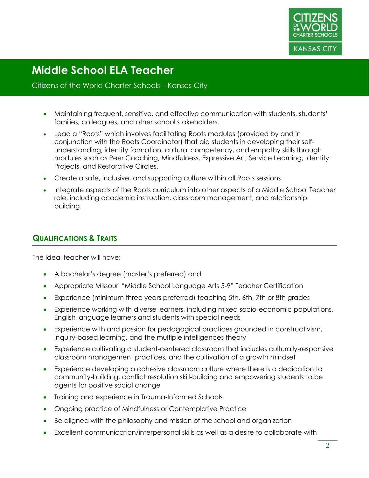

#### Citizens of the World Charter Schools – Kansas City

- Maintaining frequent, sensitive, and effective communication with students, students' families, colleagues, and other school stakeholders.
- Lead a "Roots" which involves facilitating Roots modules (provided by and in conjunction with the Roots Coordinator) that aid students in developing their selfunderstanding, identity formation, cultural competency, and empathy skills through modules such as Peer Coaching, Mindfulness, Expressive Art, Service Learning, Identity Projects, and Restorative Circles.
- Create a safe, inclusive, and supporting culture within all Roots sessions.
- Integrate aspects of the Roots curriculum into other aspects of a Middle School Teacher role, including academic instruction, classroom management, and relationship building.

#### **QUALIFICATIONS & TRAITS**

The ideal teacher will have:

- A bachelor's degree (master's preferred) and
- Appropriate Missouri "Middle School Language Arts 5-9" Teacher Certification
- Experience (minimum three years preferred) teaching 5th, 6th, 7th or 8th grades
- Experience working with diverse learners, including mixed socio-economic populations, English language learners and students with special needs
- Experience with and passion for pedagogical practices grounded in constructivism, Inquiry-based learning, and the multiple intelligences theory
- Experience cultivating a student-centered classroom that includes culturally-responsive classroom management practices, and the cultivation of a growth mindset
- Experience developing a cohesive classroom culture where there is a dedication to community-building, conflict resolution skill-building and empowering students to be agents for positive social change
- Training and experience in Trauma-Informed Schools
- Ongoing practice of Mindfulness or Contemplative Practice
- Be aligned with the philosophy and mission of the school and organization
- Excellent communication/interpersonal skills as well as a desire to collaborate with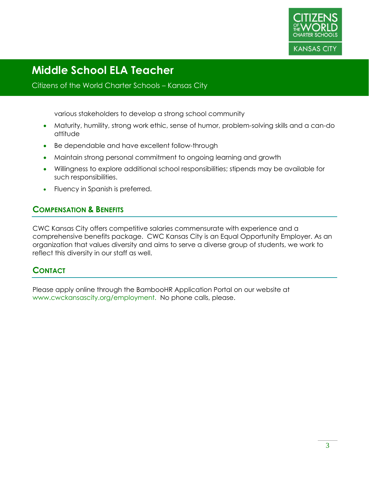

#### Citizens of the World Charter Schools – Kansas City

various stakeholders to develop a strong school community

- Maturity, humility, strong work ethic, sense of humor, problem-solving skills and a can-do attitude
- Be dependable and have excellent follow-through
- Maintain strong personal commitment to ongoing learning and growth
- Willingness to explore additional school responsibilities; stipends may be available for such responsibilities.
- Fluency in Spanish is preferred.

#### **COMPENSATION & BENEFITS**

CWC Kansas City offers competitive salaries commensurate with experience and a comprehensive benefits package. CWC Kansas City is an Equal Opportunity Employer. As an organization that values diversity and aims to serve a diverse group of students, we work to reflect this diversity in our staff as well.

#### **CONTACT**

Please apply online through the BambooHR Application Portal on our website at www.cwckansascity.org/employment. No phone calls, please.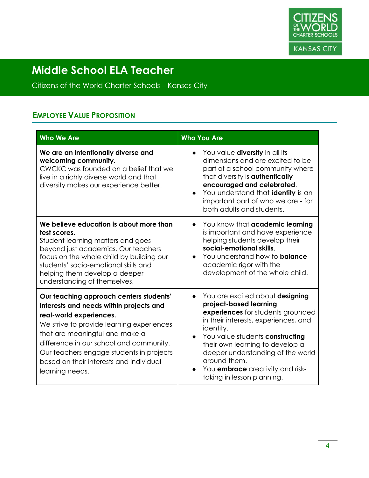

Citizens of the World Charter Schools – Kansas City

### **EMPLOYEE VALUE PROPOSITION**

| <b>Who We Are</b>                                                                                                                                                                                                                                                                                                                                 | <b>Who You Are</b>                                                                                                                                                                                                                                                                                                                                                         |
|---------------------------------------------------------------------------------------------------------------------------------------------------------------------------------------------------------------------------------------------------------------------------------------------------------------------------------------------------|----------------------------------------------------------------------------------------------------------------------------------------------------------------------------------------------------------------------------------------------------------------------------------------------------------------------------------------------------------------------------|
| We are an intentionally diverse and<br>welcoming community.<br>CWCKC was founded on a belief that we<br>live in a richly diverse world and that<br>diversity makes our experience better.                                                                                                                                                         | You value <b>diversity</b> in all its<br>$\bullet$<br>dimensions and are excited to be<br>part of a school community where<br>that diversity is <b>authentically</b><br>encouraged and celebrated.<br>You understand that identity is an<br>important part of who we are - for<br>both adults and students.                                                                |
| We believe education is about more than<br>test scores.<br>Student learning matters and goes<br>beyond just academics. Our teachers<br>focus on the whole child by building our<br>students' socio-emotional skills and<br>helping them develop a deeper<br>understanding of themselves.                                                          | You know that academic learning<br>$\bullet$<br>is important and have experience<br>helping students develop their<br>social-emotional skills.<br>You understand how to <b>balance</b><br>$\bullet$<br>academic rigor with the<br>development of the whole child.                                                                                                          |
| Our teaching approach centers students'<br>interests and needs within projects and<br>real-world experiences.<br>We strive to provide learning experiences<br>that are meaningful and make a<br>difference in our school and community.<br>Our teachers engage students in projects<br>based on their interests and individual<br>learning needs. | You are excited about designing<br>$\bullet$<br>project-based learning<br>experiences for students grounded<br>in their interests, experiences, and<br>identity.<br>You value students constructing<br>$\bullet$<br>their own learning to develop a<br>deeper understanding of the world<br>around them.<br>You embrace creativity and risk-<br>taking in lesson planning. |